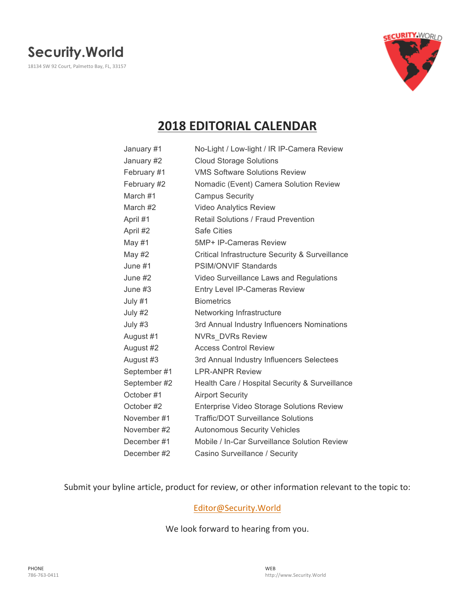

# **2018 EDITORIAL CALENDAR**

| January #1   | No-Light / Low-light / IR IP-Camera Review       |
|--------------|--------------------------------------------------|
| January #2   | <b>Cloud Storage Solutions</b>                   |
| February #1  | <b>VMS Software Solutions Review</b>             |
| February #2  | Nomadic (Event) Camera Solution Review           |
| March #1     | <b>Campus Security</b>                           |
| March #2     | <b>Video Analytics Review</b>                    |
| April #1     | <b>Retail Solutions / Fraud Prevention</b>       |
| April #2     | <b>Safe Cities</b>                               |
| May #1       | 5MP+ IP-Cameras Review                           |
| May #2       | Critical Infrastructure Security & Surveillance  |
| June #1      | <b>PSIM/ONVIF Standards</b>                      |
| June #2      | Video Surveillance Laws and Regulations          |
| June #3      | Entry Level IP-Cameras Review                    |
| July #1      | <b>Biometrics</b>                                |
| July #2      | Networking Infrastructure                        |
| July #3      | 3rd Annual Industry Influencers Nominations      |
| August #1    | <b>NVRs DVRs Review</b>                          |
| August #2    | <b>Access Control Review</b>                     |
| August #3    | 3rd Annual Industry Influencers Selectees        |
| September #1 | <b>LPR-ANPR Review</b>                           |
| September #2 | Health Care / Hospital Security & Surveillance   |
| October#1    | <b>Airport Security</b>                          |
| October #2   | <b>Enterprise Video Storage Solutions Review</b> |
| November #1  | <b>Traffic/DOT Surveillance Solutions</b>        |
| November #2  | <b>Autonomous Security Vehicles</b>              |
| December#1   | Mobile / In-Car Surveillance Solution Review     |
| December#2   | Casino Surveillance / Security                   |

Submit your byline article, product for review, or other information relevant to the topic to:

#### Editor@Security.World

We look forward to hearing from you.